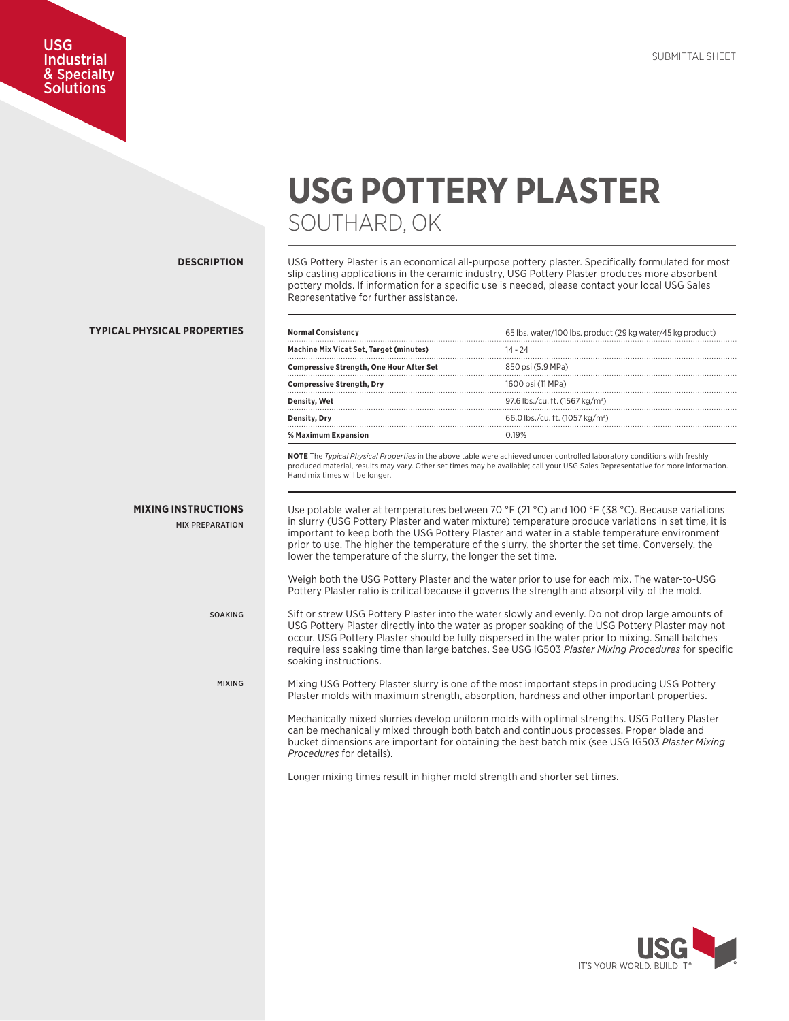# **USG POTTERY PLASTER** SOUTHARD, OK

**DESCRIPTION**

MIXING

USG **Industrial** & Specialty **Solutions** 

> USG Pottery Plaster is an economical all-purpose pottery plaster. Specifically formulated for most slip casting applications in the ceramic industry, USG Pottery Plaster produces more absorbent pottery molds. If information for a specific use is needed, please contact your local USG Sales Representative for further assistance.

| <b>TYPICAL PHYSICAL PROPERTIES</b>                   | <b>Normal Consistency</b>                                                                                                                                                                                                                                                                                                                                                                                                                                                                                                                                                                                                                                                                                                                                                                                                                           | 65 lbs. water/100 lbs. product (29 kg water/45 kg product)                                                                                                                                                                                                                                                                                                                                                     |  |
|------------------------------------------------------|-----------------------------------------------------------------------------------------------------------------------------------------------------------------------------------------------------------------------------------------------------------------------------------------------------------------------------------------------------------------------------------------------------------------------------------------------------------------------------------------------------------------------------------------------------------------------------------------------------------------------------------------------------------------------------------------------------------------------------------------------------------------------------------------------------------------------------------------------------|----------------------------------------------------------------------------------------------------------------------------------------------------------------------------------------------------------------------------------------------------------------------------------------------------------------------------------------------------------------------------------------------------------------|--|
|                                                      | Machine Mix Vicat Set, Target (minutes)                                                                                                                                                                                                                                                                                                                                                                                                                                                                                                                                                                                                                                                                                                                                                                                                             | $14 - 24$                                                                                                                                                                                                                                                                                                                                                                                                      |  |
|                                                      | <b>Compressive Strength, One Hour After Set</b>                                                                                                                                                                                                                                                                                                                                                                                                                                                                                                                                                                                                                                                                                                                                                                                                     | 850 psi (5.9 MPa)                                                                                                                                                                                                                                                                                                                                                                                              |  |
|                                                      | <b>Compressive Strength, Dry</b>                                                                                                                                                                                                                                                                                                                                                                                                                                                                                                                                                                                                                                                                                                                                                                                                                    | 1600 psi (11 MPa)                                                                                                                                                                                                                                                                                                                                                                                              |  |
|                                                      | Density, Wet                                                                                                                                                                                                                                                                                                                                                                                                                                                                                                                                                                                                                                                                                                                                                                                                                                        | 97.6 lbs./cu. ft. (1567 kg/m <sup>3</sup> )                                                                                                                                                                                                                                                                                                                                                                    |  |
|                                                      | <b>Density, Drv</b>                                                                                                                                                                                                                                                                                                                                                                                                                                                                                                                                                                                                                                                                                                                                                                                                                                 | 66.0 lbs./cu. ft. (1057 kg/m <sup>3</sup> )                                                                                                                                                                                                                                                                                                                                                                    |  |
|                                                      | % Maximum Expansion                                                                                                                                                                                                                                                                                                                                                                                                                                                                                                                                                                                                                                                                                                                                                                                                                                 | 0.19%                                                                                                                                                                                                                                                                                                                                                                                                          |  |
| <b>MIXING INSTRUCTIONS</b><br><b>MIX PREPARATION</b> | produced material, results may vary. Other set times may be available; call your USG Sales Representative for more information.<br>Hand mix times will be longer.<br>Use potable water at temperatures between 70 °F (21 °C) and 100 °F (38 °C). Because variations<br>in slurry (USG Pottery Plaster and water mixture) temperature produce variations in set time, it is<br>important to keep both the USG Pottery Plaster and water in a stable temperature environment<br>prior to use. The higher the temperature of the slurry, the shorter the set time. Conversely, the<br>lower the temperature of the slurry, the longer the set time.<br>Weigh both the USG Pottery Plaster and the water prior to use for each mix. The water-to-USG<br>Pottery Plaster ratio is critical because it governs the strength and absorptivity of the mold. |                                                                                                                                                                                                                                                                                                                                                                                                                |  |
| <b>SOAKING</b>                                       | soaking instructions.                                                                                                                                                                                                                                                                                                                                                                                                                                                                                                                                                                                                                                                                                                                                                                                                                               | Sift or strew USG Pottery Plaster into the water slowly and evenly. Do not drop large amounts of<br>USG Pottery Plaster directly into the water as proper soaking of the USG Pottery Plaster may not<br>occur. USG Pottery Plaster should be fully dispersed in the water prior to mixing. Small batches<br>require less soaking time than large batches. See USG IG503 Plaster Mixing Procedures for specific |  |

Mixing USG Pottery Plaster slurry is one of the most important steps in producing USG Pottery Plaster molds with maximum strength, absorption, hardness and other important properties.

Mechanically mixed slurries develop uniform molds with optimal strengths. USG Pottery Plaster can be mechanically mixed through both batch and continuous processes. Proper blade and bucket dimensions are important for obtaining the best batch mix (see USG IG503 *Plaster Mixing Procedures* for details).

Longer mixing times result in higher mold strength and shorter set times.